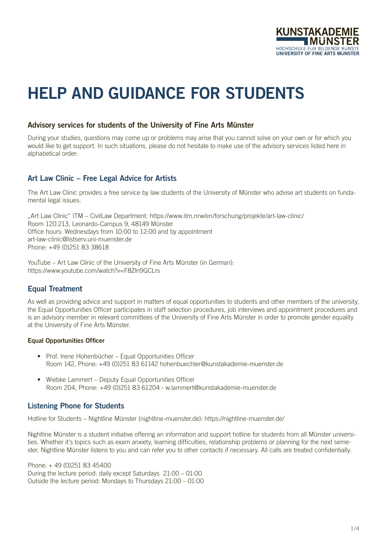

# HELP AND GUIDANCE FOR STUDENTS

## Advisory services for students of the University of Fine Arts Münster

During your studies, questions may come up or problems may arise that you cannot solve on your own or for which you would like to get support. In such situations, please do not hesitate to make use of the advisory services listed here in alphabetical order:

## Art Law Clinic – Free Legal Advice for Artists

The Art Law Clinic provides a free service by law students of the University of Münster who advise art students on fundamental legal issues.

"Art Law Clinic" ITM – CivilLaw Department: https://www.itm.nrw/en/forschung/projekte/art-law-clinic/ Room 120.213, Leonardo-Campus 9, 48149 Münster Office hours: Wednesdays from 10:00 to 12:00 and by appointment art-law-clinic@listserv.uni-muenster.de Phone: +49 (0)251 83 38618

YouTube – Art Law Clinic of the University of Fine Arts Münster (in German): https://www.youtube.com/watch?v=F8Zln9GCLrs

## Equal Treatment

As well as providing advice and support in matters of equal opportunities to students and other members of the university, the Equal Opportunities Officer participates in staff selection procedures, job interviews and appointment procedures and is an advisory member in relevant committees of the University of Fine Arts Münster in order to promote gender equality at the University of Fine Arts Münster.

#### Equal Opportunities Officer

- Prof. Irene Hohenbücher Equal Opportunities Officer Room 142, Phone: +49 (0)251 83 61142 hohenbuechler@kunstakademie-muenster.de
- Wiebke Lammert Deputy Equal Opportunities Officer Room 204, Phone: +49 (0)251 83 61204 - w.lammert@kunstakademie-muenster.de

## Listening Phone for Students

Hotline for Students – Nightline Münster (nightline-muenster.de): https://nightline-muenster.de/

Nightline Münster is a student initiative offering an information and support hotline for students from all Münster universities. Whether it's topics such as exam anxiety, learning difficulties, relationship problems or planning for the next semester, Nightline Münster listens to you and can refer you to other contacts if necessary. All calls are treated confidentially.

Phone: + 49 (0)251 83 45400 During the lecture period: daily except Saturdays 21:00 – 01:00 Outside the lecture period: Mondays to Thursdays 21:00 – 01:00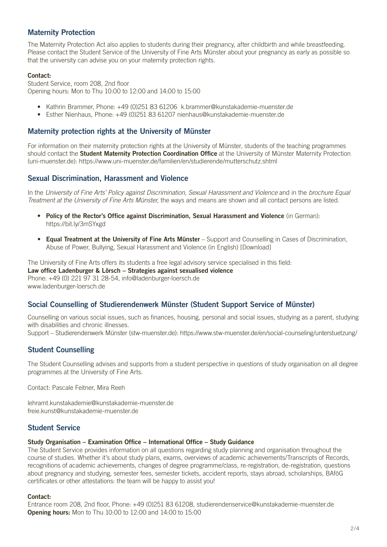## Maternity Protection

The Maternity Protection Act also applies to students during their pregnancy, after childbirth and while breastfeeding. Please contact the Student Service of the University of Fine Arts Münster about your pregnancy as early as possible so that the university can advise you on your maternity protection rights.

#### Contact:

Student Service, room 208, 2nd floor Opening hours: Mon to Thu 10:00 to 12:00 and 14:00 to 15:00

- Kathrin Brammer, Phone: +49 (0)251 83 61206 k.brammer@kunstakademie-muenster.de
- Esther Nienhaus, Phone: +49 (0)251 83 61207 nienhaus@kunstakademie-muenster.de

## Maternity protection rights at the University of Münster

For information on their maternity protection rights at the University of Münster, students of the teaching programmes should contact the Student Maternity Protection Coordination Office at the University of Münster Maternity Protection (uni-muenster.de): https://www.uni-muenster.de/familien/en/studierende/mutterschutz.shtml

## Sexual Discrimination, Harassment and Violence

In the *University of Fine Arts' Policy against Discrimination, Sexual Harassment and Violence* and in the *brochure Equal Treatment at the University of Fine Arts Münster*, the ways and means are shown and all contact persons are listed.

- Policy of the Rector's Office against Discrimination, Sexual Harassment and Violence (in German): https://bit.ly/3mSYxgd
- [Equal Treatment at the University of Fine Arts Münster](https://www.kunstakademie-muenster.de/fileadmin/media/Website_2018/verwaltung/spkm/Brochure_equal_treatment_20220105_ENU_web.pdf) Support and Counselling in Cases of Discrimination, Abuse of Power, Bul[lying, Sexual Harassment and Violence \(in English\) \[Download\]](https://www.kunstakademie-muenster.de/fileadmin/media/Website_2018/verwaltung/spkm/Brochure_equal_treatment_20220105_ENU_web.pdf)

The University of Fine Arts offers its students a free legal advisory service specialised in this field: Law office Ladenburger & Lörsch – Strategies against sexualised violence Phone: +49 (0) 221 97 31 28-54, info@ladenburger-loersch.de www.ladenburger-loersch.de

## Social Counselling of Studierendenwerk Münster (Student Support Service of Münster)

Counselling on various social issues, such as finances, housing, personal and social issues, studying as a parent, studying with disabilities and chronic illnesses.

Support – Studierendenwerk Münster (stw-muenster.de): https://www.stw-muenster.de/en/social-counseling/unterstuetzung/

## Student Counselling

The Student Counselling advises and supports from a student perspective in questions of study organisation on all degree programmes at the University of Fine Arts.

Contact: Pascale Feitner, Mira Reeh

lehramt.kunstakademie@kunstakademie-muenster.de freie.kunst@kunstakademie-muenster.de

## Student Service

#### Study Organisation – Examination Office – International Office – Study Guidance

The Student Service provides information on all questions regarding study planning and organisation throughout the course of studies. Whether it's about study plans, exams, overviews of academic achievements/Transcripts of Records, recognitions of academic achievements, changes of degree programme/class, re-registration, de-registration, questions about pregnancy and studying, semester fees, semester tickets, accident reports, stays abroad, scholarships, BAföG certificates or other attestations: the team will be happy to assist you!

#### Contact:

Entrance room 208, 2nd floor, Phone: +49 (0)251 83 61208, studierendenservice@kunstakademie-muenster.de **Opening hours:** Mon to Thu 10:00 to 12:00 and 14:00 to 15:00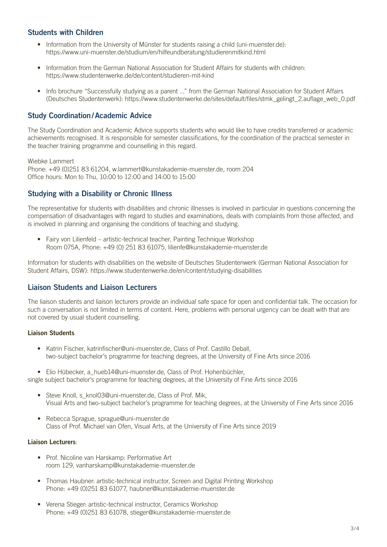## Students with Children

- Information from the University of Münster for students raising a child (uni-muenster.de): https://www.uni-muenster.de/studium/en/hilfeundberatung/studierenmitkind.html
- Information from the German National Association for Student Affairs for students with children: https://www.studentenwerke.de/de/content/studieren-mit-kind
- Info brochure "Successfully studying as a parent ..." from the German National Association for Student Affairs (Deutsches Studentenwerk): https://www.studentenwerke.de/sites/default/files/stmk\_gelingt\_2.auflage\_web\_0.pdf

## Study Coordination/Academic Advice

The Study Coordination and Academic Advice supports students who would like to have credits transferred or academic achievements recognised. It is responsible for semester classifications, for the coordination of the practical semester in the teacher training programme and counselling in this regard.

Wiebke Lammert

Phone: +49 (0)251 83 61204, w.lammert@kunstakademie-muenster.de, room 204 Office hours: Mon to Thu, 10:00 to 12:00 and 14:00 to 15:00

## Studying with a Disability or Chronic Illness

The representative for students with disabilities and chronic illnesses is involved in particular in questions concerning the compensation of disadvantages with regard to studies and examinations, deals with complaints from those affected, and is involved in planning and organising the conditions of teaching and studying.

• Fairy von Lilienfeld – artistic-technical teacher, Painting Technique Workshop Room 075A, Phone: +49 (0) 251 83 61075, lilienfe@kunstakademie-muenster.de

Information for students with disabilities on the website of Deutsches Studentenwerk (German National Association for Student Affairs, DSW): https://www.studentenwerke.de/en/content/studying-disabilities

## Liaison Students and Liaison Lecturers

The liaison students and liaison lecturers provide an individual safe space for open and confidential talk. The occasion for such a conversation is not limited in terms of content. Here, problems with personal urgency can be dealt with that are not covered by usual student counselling.

#### Liaison Students

- Katrin Fischer, katrinfischer@uni-muenster.de, Class of Prof. Castillo Deball, two-subject bachelor's programme for teaching degrees, at the University of Fine Arts since 2016
- Elio Hübecker, a hueb14@uni-muenster.de, Class of Prof. Hohenbüchler,

single subject bachelor's programme for teaching degrees, at the University of Fine Arts since 2016

- Steve Knoll, s\_knol03@uni-muenster.de, Class of Prof. Mik. Visual Arts and two-subject bachelor's programme for teaching degrees, at the University of Fine Arts since 2016
- Rebecca Sprague, sprague@uni-muenster.de Class of Prof. Michael van Ofen, Visual Arts, at the University of Fine Arts since 2019

#### Liaison Lecturers:

- Prof. Nicoline van Harskamp: Performative Art room 129, vanharskamp@kunstakademie-muenster.de
- Thomas Haubner: artistic-technical instructor, Screen and Digital Printing Workshop Phone: +49 (0)251 83 61077, haubner@kunstakademie-muenster.de
- Verena Stieger: artistic-technical instructor, Ceramics Workshop Phone: +49 (0)251 83 61078, stieger@kunstakademie-muenster.de